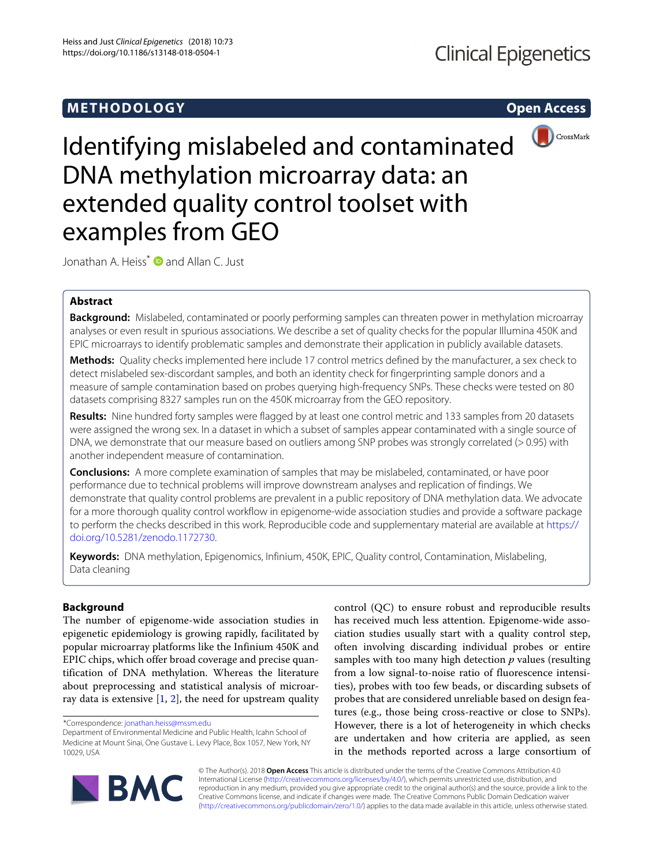# **METHODOLOGY Open Access**



Identifying mislabeled and contaminated DNA methylation microarray data: an extended quality control toolset with examples from GEO

Jonathan A. Heiss<sup>\*</sup> **D** and Allan C. Just

## **Abstract**

**Background:** Mislabeled, contaminated or poorly performing samples can threaten power in methylation microarray analyses or even result in spurious associations. We describe a set of quality checks for the popular Illumina 450K and EPIC microarrays to identify problematic samples and demonstrate their application in publicly available datasets.

**Methods:** Quality checks implemented here include 17 control metrics defined by the manufacturer, a sex check to detect mislabeled sex-discordant samples, and both an identity check for fingerprinting sample donors and a measure of sample contamination based on probes querying high-frequency SNPs. These checks were tested on 80 datasets comprising 8327 samples run on the 450K microarray from the GEO repository.

**Results:** Nine hundred forty samples were flagged by at least one control metric and 133 samples from 20 datasets were assigned the wrong sex. In a dataset in which a subset of samples appear contaminated with a single source of DNA, we demonstrate that our measure based on outliers among SNP probes was strongly correlated (> 0.95) with another independent measure of contamination.

**Conclusions:** A more complete examination of samples that may be mislabeled, contaminated, or have poor performance due to technical problems will improve downstream analyses and replication of findings. We demonstrate that quality control problems are prevalent in a public repository of DNA methylation data. We advocate for a more thorough quality control workflow in epigenome-wide association studies and provide a software package to perform the checks described in this work. Reproducible code and supplementary material are available at [https://](https://doi.org/10.5281/zenodo.1172730) [doi.org/10.5281/zenodo.1172730.](https://doi.org/10.5281/zenodo.1172730)

**Keywords:** DNA methylation, Epigenomics, Infinium, 450K, EPIC, Quality control, Contamination, Mislabeling, Data cleaning

## **Background**

The number of epigenome-wide association studies in epigenetic epidemiology is growing rapidly, facilitated by popular microarray platforms like the Infinium 450K and EPIC chips, which offer broad coverage and precise quantification of DNA methylation. Whereas the literature about preprocessing and statistical analysis of microarray data is extensive  $[1, 2]$  $[1, 2]$  $[1, 2]$ , the need for upstream quality control (QC) to ensure robust and reproducible results has received much less attention. Epigenome-wide association studies usually start with a quality control step, often involving discarding individual probes or entire samples with too many high detection *p* values (resulting from a low signal-to-noise ratio of fluorescence intensities), probes with too few beads, or discarding subsets of probes that are considered unreliable based on design features (e.g., those being cross-reactive or close to SNPs). However, there is a lot of heterogeneity in which checks are undertaken and how criteria are applied, as seen in the methods reported across a large consortium of



© The Author(s). 2018 **Open Access** This article is distributed under the terms of the Creative Commons Attribution 4.0 International License [\(http://creativecommons.org/licenses/by/4.0/\)](http://creativecommons.org/licenses/by/4.0/), which permits unrestricted use, distribution, and reproduction in any medium, provided you give appropriate credit to the original author(s) and the source, provide a link to the Creative Commons license, and indicate if changes were made. The Creative Commons Public Domain Dedication waiver [\(http://creativecommons.org/publicdomain/zero/1.0/\)](http://creativecommons.org/publicdomain/zero/1.0/) applies to the data made available in this article, unless otherwise stated.

<sup>\*</sup>Correspondence: [jonathan.heiss@mssm.edu](mailto: jonathan.heiss@mssm.edu)

Department of Environmental Medicine and Public Health, Icahn School of Medicine at Mount Sinai, One Gustave L. Levy Place, Box 1057, New York, NY 10029, USA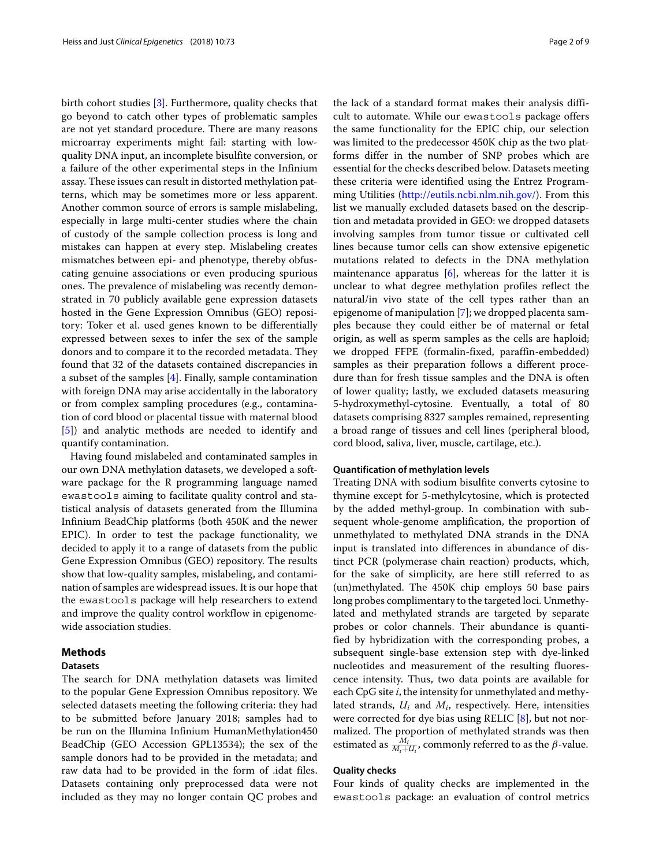birth cohort studies [\[3\]](#page-8-2). Furthermore, quality checks that go beyond to catch other types of problematic samples are not yet standard procedure. There are many reasons microarray experiments might fail: starting with lowquality DNA input, an incomplete bisulfite conversion, or a failure of the other experimental steps in the Infinium assay. These issues can result in distorted methylation patterns, which may be sometimes more or less apparent. Another common source of errors is sample mislabeling, especially in large multi-center studies where the chain of custody of the sample collection process is long and mistakes can happen at every step. Mislabeling creates mismatches between epi- and phenotype, thereby obfuscating genuine associations or even producing spurious ones. The prevalence of mislabeling was recently demonstrated in 70 publicly available gene expression datasets hosted in the Gene Expression Omnibus (GEO) repository: Toker et al. used genes known to be differentially expressed between sexes to infer the sex of the sample donors and to compare it to the recorded metadata. They found that 32 of the datasets contained discrepancies in a subset of the samples [\[4\]](#page-8-3). Finally, sample contamination with foreign DNA may arise accidentally in the laboratory or from complex sampling procedures (e.g., contamination of cord blood or placental tissue with maternal blood [\[5\]](#page-8-4)) and analytic methods are needed to identify and quantify contamination.

Having found mislabeled and contaminated samples in our own DNA methylation datasets, we developed a software package for the R programming language named ewastools aiming to facilitate quality control and statistical analysis of datasets generated from the Illumina Infinium BeadChip platforms (both 450K and the newer EPIC). In order to test the package functionality, we decided to apply it to a range of datasets from the public Gene Expression Omnibus (GEO) repository. The results show that low-quality samples, mislabeling, and contamination of samples are widespread issues. It is our hope that the ewastools package will help researchers to extend and improve the quality control workflow in epigenomewide association studies.

## **Methods**

## **Datasets**

The search for DNA methylation datasets was limited to the popular Gene Expression Omnibus repository. We selected datasets meeting the following criteria: they had to be submitted before January 2018; samples had to be run on the Illumina Infinium HumanMethylation450 BeadChip (GEO Accession GPL13534); the sex of the sample donors had to be provided in the metadata; and raw data had to be provided in the form of .idat files. Datasets containing only preprocessed data were not included as they may no longer contain QC probes and

the lack of a standard format makes their analysis difficult to automate. While our ewastools package offers the same functionality for the EPIC chip, our selection was limited to the predecessor 450K chip as the two platforms differ in the number of SNP probes which are essential for the checks described below. Datasets meeting these criteria were identified using the Entrez Programming Utilities [\(http://eutils.ncbi.nlm.nih.gov/\)](http://eutils.ncbi.nlm.nih.gov/). From this list we manually excluded datasets based on the description and metadata provided in GEO: we dropped datasets involving samples from tumor tissue or cultivated cell lines because tumor cells can show extensive epigenetic mutations related to defects in the DNA methylation maintenance apparatus  $[6]$ , whereas for the latter it is unclear to what degree methylation profiles reflect the natural/in vivo state of the cell types rather than an epigenome of manipulation [\[7\]](#page-8-6); we dropped placenta samples because they could either be of maternal or fetal origin, as well as sperm samples as the cells are haploid; we dropped FFPE (formalin-fixed, paraffin-embedded) samples as their preparation follows a different procedure than for fresh tissue samples and the DNA is often of lower quality; lastly, we excluded datasets measuring 5-hydroxymethyl-cytosine. Eventually, a total of 80 datasets comprising 8327 samples remained, representing a broad range of tissues and cell lines (peripheral blood, cord blood, saliva, liver, muscle, cartilage, etc.).

#### **Quantification of methylation levels**

Treating DNA with sodium bisulfite converts cytosine to thymine except for 5-methylcytosine, which is protected by the added methyl-group. In combination with subsequent whole-genome amplification, the proportion of unmethylated to methylated DNA strands in the DNA input is translated into differences in abundance of distinct PCR (polymerase chain reaction) products, which, for the sake of simplicity, are here still referred to as (un)methylated. The 450K chip employs 50 base pairs long probes complimentary to the targeted loci. Unmethylated and methylated strands are targeted by separate probes or color channels. Their abundance is quantified by hybridization with the corresponding probes, a subsequent single-base extension step with dye-linked nucleotides and measurement of the resulting fluorescence intensity. Thus, two data points are available for each CpG site *i*, the intensity for unmethylated and methylated strands, *Ui* and *Mi*, respectively. Here, intensities were corrected for dye bias using RELIC [\[8\]](#page-8-7), but not normalized. The proportion of methylated strands was then estimated as  $\frac{M_i}{M_i+U_i}$ , commonly referred to as the  $\beta$ -value.

## **Quality checks**

Four kinds of quality checks are implemented in the ewastools package: an evaluation of control metrics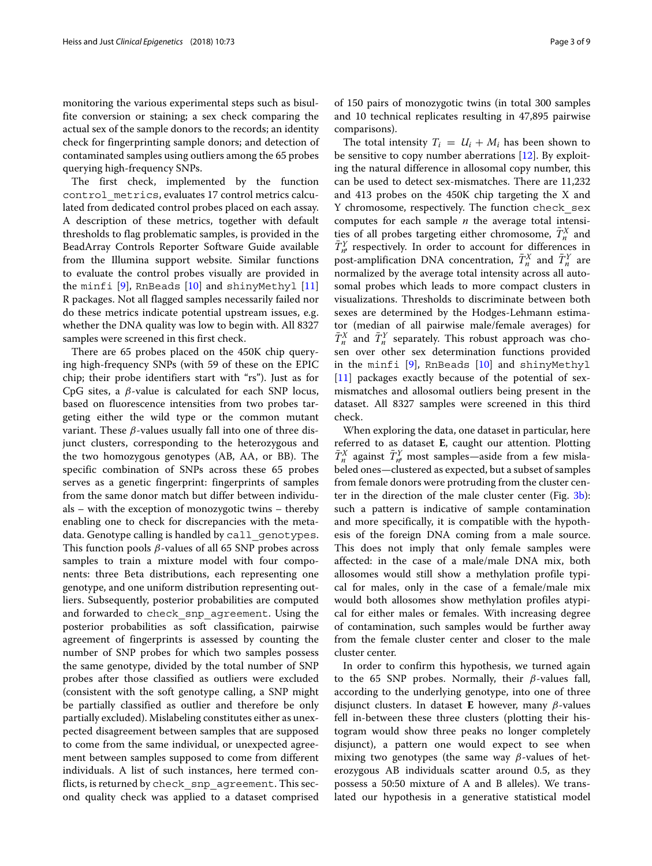monitoring the various experimental steps such as bisulfite conversion or staining; a sex check comparing the actual sex of the sample donors to the records; an identity check for fingerprinting sample donors; and detection of contaminated samples using outliers among the 65 probes querying high-frequency SNPs.

The first check, implemented by the function control\_metrics, evaluates 17 control metrics calculated from dedicated control probes placed on each assay. A description of these metrics, together with default thresholds to flag problematic samples, is provided in the BeadArray Controls Reporter Software Guide available from the Illumina support website. Similar functions to evaluate the control probes visually are provided in the minfi [\[9\]](#page-8-8), RnBeads [\[10\]](#page-8-9) and shinyMethyl [\[11\]](#page-8-10) R packages. Not all flagged samples necessarily failed nor do these metrics indicate potential upstream issues, e.g. whether the DNA quality was low to begin with. All 8327 samples were screened in this first check.

There are 65 probes placed on the 450K chip querying high-frequency SNPs (with 59 of these on the EPIC chip; their probe identifiers start with "rs"). Just as for CpG sites, a  $\beta$ -value is calculated for each SNP locus, based on fluorescence intensities from two probes targeting either the wild type or the common mutant variant. These  $\beta$ -values usually fall into one of three disjunct clusters, corresponding to the heterozygous and the two homozygous genotypes (AB, AA, or BB). The specific combination of SNPs across these 65 probes serves as a genetic fingerprint: fingerprints of samples from the same donor match but differ between individuals – with the exception of monozygotic twins – thereby enabling one to check for discrepancies with the metadata. Genotype calling is handled by call genotypes. This function pools  $\beta$ -values of all 65 SNP probes across samples to train a mixture model with four components: three Beta distributions, each representing one genotype, and one uniform distribution representing outliers. Subsequently, posterior probabilities are computed and forwarded to check\_snp\_agreement. Using the posterior probabilities as soft classification, pairwise agreement of fingerprints is assessed by counting the number of SNP probes for which two samples possess the same genotype, divided by the total number of SNP probes after those classified as outliers were excluded (consistent with the soft genotype calling, a SNP might be partially classified as outlier and therefore be only partially excluded). Mislabeling constitutes either as unexpected disagreement between samples that are supposed to come from the same individual, or unexpected agreement between samples supposed to come from different individuals. A list of such instances, here termed conflicts, is returned by check\_snp\_agreement. This second quality check was applied to a dataset comprised of 150 pairs of monozygotic twins (in total 300 samples and 10 technical replicates resulting in 47,895 pairwise comparisons).

The total intensity  $T_i = U_i + M_i$  has been shown to be sensitive to copy number aberrations [\[12\]](#page-8-11). By exploiting the natural difference in allosomal copy number, this can be used to detect sex-mismatches. There are 11,232 and 413 probes on the 450K chip targeting the X and Y chromosome, respectively. The function check\_sex computes for each sample *n* the average total intensities of all probes targeting either chromosome,  $\bar{T}_n^X$  and  $\bar{T}_{n}^{Y}$  respectively. In order to account for differences in post-amplification DNA concentration,  $\bar{T}_n^X$  and  $\bar{T}_n^Y$  are normalized by the average total intensity across all autosomal probes which leads to more compact clusters in visualizations. Thresholds to discriminate between both sexes are determined by the Hodges-Lehmann estimator (median of all pairwise male/female averages) for  $\bar{T}_n^X$  and  $\bar{T}_n^Y$  separately. This robust approach was chosen over other sex determination functions provided in the minfi [\[9\]](#page-8-8), RnBeads [\[10\]](#page-8-9) and shinyMethyl [\[11\]](#page-8-10) packages exactly because of the potential of sexmismatches and allosomal outliers being present in the dataset. All 8327 samples were screened in this third check.

When exploring the data, one dataset in particular, here referred to as dataset **E**, caught our attention. Plotting  $\bar{T}_n^X$  against  $\bar{T}_n^Y$  most samples—aside from a few mislabeled ones—clustered as expected, but a subset of samples from female donors were protruding from the cluster center in the direction of the male cluster center (Fig. [3](#page-5-0)[b\)](#page-5-1): such a pattern is indicative of sample contamination and more specifically, it is compatible with the hypothesis of the foreign DNA coming from a male source. This does not imply that only female samples were affected: in the case of a male/male DNA mix, both allosomes would still show a methylation profile typical for males, only in the case of a female/male mix would both allosomes show methylation profiles atypical for either males or females. With increasing degree of contamination, such samples would be further away from the female cluster center and closer to the male cluster center.

In order to confirm this hypothesis, we turned again to the 65 SNP probes. Normally, their  $\beta$ -values fall, according to the underlying genotype, into one of three disjunct clusters. In dataset **E** however, many β-values fell in-between these three clusters (plotting their histogram would show three peaks no longer completely disjunct), a pattern one would expect to see when mixing two genotypes (the same way  $\beta$ -values of heterozygous AB individuals scatter around 0.5, as they possess a 50:50 mixture of A and B alleles). We translated our hypothesis in a generative statistical model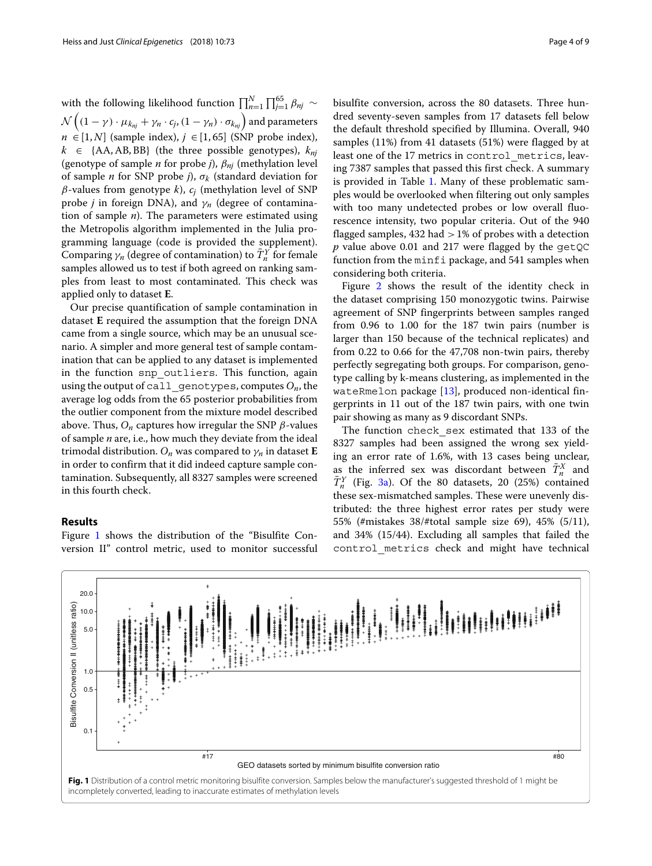with the following likelihood function  $\prod_{n=1}^{N} \prod_{j=1}^{65} \beta_{nj} \sim$  $\mathcal{N}\left((1-\gamma)\cdot \mu_{k_{nj}}+\gamma_n\cdot c_j,(1-\gamma_n)\cdot \sigma_{k_{nj}}\right)$  and parameters  $n \in [1, N]$  (sample index),  $j \in [1, 65]$  (SNP probe index),  $k \in \{AA, AB, BB\}$  (the three possible genotypes),  $k_{ni}$ (genotype of sample *n* for probe *j*), β*nj* (methylation level of sample *n* for SNP probe *j*), σ*<sup>k</sup>* (standard deviation for  $\beta$ -values from genotype *k*),  $c_i$  (methylation level of SNP probe *j* in foreign DNA), and  $\gamma_n$  (degree of contamination of sample *n*). The parameters were estimated using the Metropolis algorithm implemented in the Julia programming language (code is provided the supplement). Comparing  $\gamma_n$  (degree of contamination) to  $\bar{T}^Y_n$  for female samples allowed us to test if both agreed on ranking samples from least to most contaminated. This check was applied only to dataset **E**.

Our precise quantification of sample contamination in dataset **E** required the assumption that the foreign DNA came from a single source, which may be an unusual scenario. A simpler and more general test of sample contamination that can be applied to any dataset is implemented in the function snp outliers. This function, again using the output of call  $q$ enotypes, computes  $O_n$ , the average log odds from the 65 posterior probabilities from the outlier component from the mixture model described above. Thus,  $O_n$  captures how irregular the SNP  $\beta$ -values of sample *n* are, i.e., how much they deviate from the ideal trimodal distribution.  $O_n$  was compared to  $\gamma_n$  in dataset **E** in order to confirm that it did indeed capture sample contamination. Subsequently, all 8327 samples were screened in this fourth check.

## **Results**

Figure [1](#page-3-0) shows the distribution of the "Bisulfite Conversion II" control metric, used to monitor successful bisulfite conversion, across the 80 datasets. Three hundred seventy-seven samples from 17 datasets fell below the default threshold specified by Illumina. Overall, 940 samples (11%) from 41 datasets (51%) were flagged by at least one of the 17 metrics in control\_metrics, leaving 7387 samples that passed this first check. A summary is provided in Table [1.](#page-4-0) Many of these problematic samples would be overlooked when filtering out only samples with too many undetected probes or low overall fluorescence intensity, two popular criteria. Out of the 940 flagged samples,  $432$  had  $>1\%$  of probes with a detection *p* value above 0.01 and 217 were flagged by the getQC function from the minfi package, and 541 samples when

Figure [2](#page-4-1) shows the result of the identity check in the dataset comprising 150 monozygotic twins. Pairwise agreement of SNP fingerprints between samples ranged from 0.96 to 1.00 for the 187 twin pairs (number is larger than 150 because of the technical replicates) and from 0.22 to 0.66 for the 47,708 non-twin pairs, thereby perfectly segregating both groups. For comparison, genotype calling by k-means clustering, as implemented in the wateRmelon package  $[13]$ , produced non-identical fingerprints in 11 out of the 187 twin pairs, with one twin pair showing as many as 9 discordant SNPs.

considering both criteria.

The function check\_sex estimated that 133 of the 8327 samples had been assigned the wrong sex yielding an error rate of 1.6%, with 13 cases being unclear, as the inferred sex was discordant between  $\bar{T}_n^X$  and  $\overline{T}_n^Y$  (Fig. [3](#page-5-0)[a\)](#page-5-1). Of the 80 datasets, 20 (25%) contained these sex-mismatched samples. These were unevenly distributed: the three highest error rates per study were 55% (#mistakes 38/#total sample size 69), 45% (5/11), and 34% (15/44). Excluding all samples that failed the control\_metrics check and might have technical

<span id="page-3-0"></span>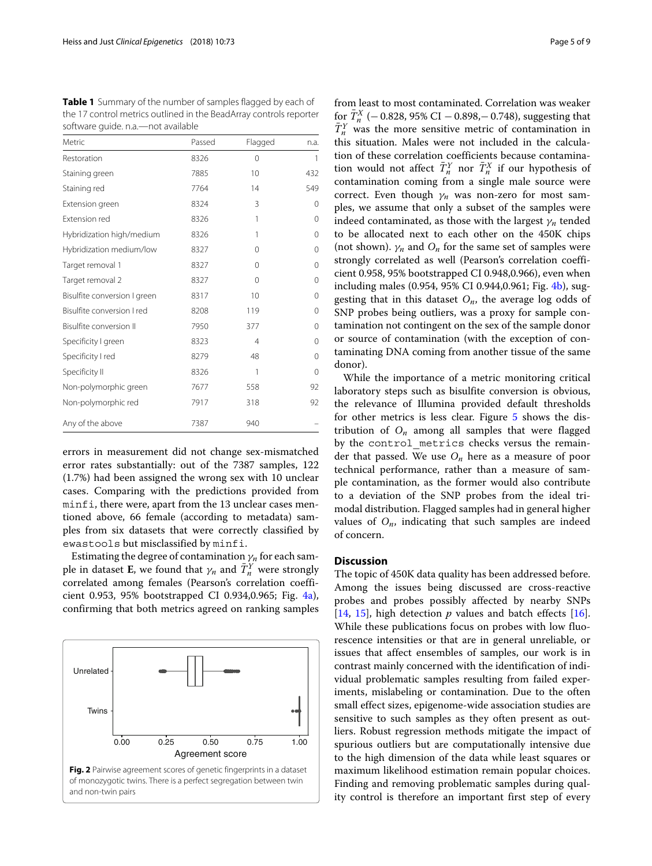<span id="page-4-0"></span>**Table 1** Summary of the number of samples flagged by each of the 17 control metrics outlined in the BeadArray controls reporter software guide. n.a.—not available

| Metric                       | Passed | Flagged | n.a.     |
|------------------------------|--------|---------|----------|
| Restoration                  | 8326   | 0       | 1        |
| Staining green               | 7885   | 10      | 432      |
| Staining red                 | 7764   | 14      | 549      |
| Extension green              | 8324   | 3       | 0        |
| Extension red                | 8326   | 1       | 0        |
| Hybridization high/medium    | 8326   | 1       | 0        |
| Hybridization medium/low     | 8327   | 0       | 0        |
| Target removal 1             | 8327   | 0       | 0        |
| Target removal 2             | 8327   | 0       | 0        |
| Bisulfite conversion I green | 8317   | 10      | $\Omega$ |
| Bisulfite conversion I red   | 8208   | 119     | $\Omega$ |
| Bisulfite conversion II      | 7950   | 377     | $\Omega$ |
| Specificity I green          | 8323   | 4       | $\Omega$ |
| Specificity I red            | 8279   | 48      | $\Omega$ |
| Specificity II               | 8326   | 1       | $\Omega$ |
| Non-polymorphic green        | 7677   | 558     | 92       |
| Non-polymorphic red          | 7917   | 318     | 92       |
| Any of the above             | 7387   | 940     |          |

errors in measurement did not change sex-mismatched error rates substantially: out of the 7387 samples, 122 (1.7%) had been assigned the wrong sex with 10 unclear cases. Comparing with the predictions provided from minfi, there were, apart from the 13 unclear cases mentioned above, 66 female (according to metadata) samples from six datasets that were correctly classified by ewastools but misclassified by minfi.

Estimating the degree of contamination  $\gamma_n$  for each sample in dataset **E**, we found that  $\gamma_n$  and  $\bar{T}^Y_n$  were strongly correlated among females (Pearson's correlation coefficient 0.953, 95% bootstrapped CI 0.934,0.965; Fig. [4](#page-6-0)[a\)](#page-6-1), confirming that both metrics agreed on ranking samples

<span id="page-4-1"></span>

from least to most contaminated. Correlation was weaker for  $\bar{T}_{n}^{X}$  (− 0.828, 95% CI − 0.898,− 0.748), suggesting that  $\bar{T}_n^Y$  was the more sensitive metric of contamination in this situation. Males were not included in the calculation of these correlation coefficients because contamination would not affect  $\overline{T}_n^Y$  nor  $\overline{T}_n^X$  if our hypothesis of contamination coming from a single male source were correct. Even though  $\gamma_n$  was non-zero for most samples, we assume that only a subset of the samples were indeed contaminated, as those with the largest  $\gamma_n$  tended to be allocated next to each other on the 450K chips (not shown).  $\gamma_n$  and  $O_n$  for the same set of samples were strongly correlated as well (Pearson's correlation coefficient 0.958, 95% bootstrapped CI 0.948,0.966), even when including males (0.954, 95% CI 0.944,0.961; Fig. [4](#page-6-0)[b\)](#page-6-1), suggesting that in this dataset *On*, the average log odds of SNP probes being outliers, was a proxy for sample contamination not contingent on the sex of the sample donor or source of contamination (with the exception of contaminating DNA coming from another tissue of the same donor).

While the importance of a metric monitoring critical laboratory steps such as bisulfite conversion is obvious, the relevance of Illumina provided default thresholds for other metrics is less clear. Figure [5](#page-6-2) shows the distribution of  $O_n$  among all samples that were flagged by the control metrics checks versus the remainder that passed. We use *On* here as a measure of poor technical performance, rather than a measure of sample contamination, as the former would also contribute to a deviation of the SNP probes from the ideal trimodal distribution. Flagged samples had in general higher values of  $O_n$ , indicating that such samples are indeed of concern.

## **Discussion**

The topic of 450K data quality has been addressed before. Among the issues being discussed are cross-reactive probes and probes possibly affected by nearby SNPs [\[14,](#page-8-13) [15\]](#page-8-14), high detection  $p$  values and batch effects [\[16\]](#page-8-15). While these publications focus on probes with low fluorescence intensities or that are in general unreliable, or issues that affect ensembles of samples, our work is in contrast mainly concerned with the identification of individual problematic samples resulting from failed experiments, mislabeling or contamination. Due to the often small effect sizes, epigenome-wide association studies are sensitive to such samples as they often present as outliers. Robust regression methods mitigate the impact of spurious outliers but are computationally intensive due to the high dimension of the data while least squares or maximum likelihood estimation remain popular choices. Finding and removing problematic samples during quality control is therefore an important first step of every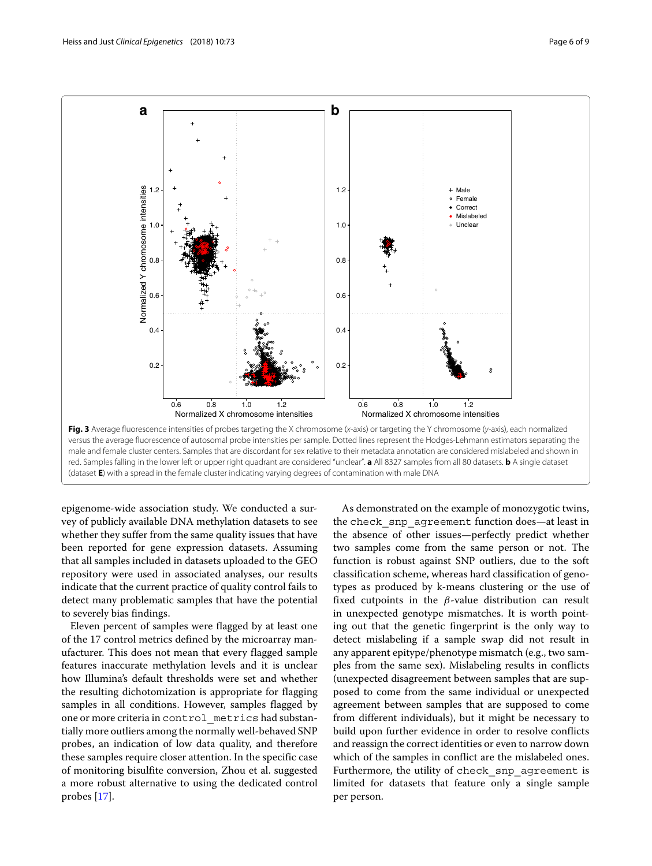

<span id="page-5-1"></span><span id="page-5-0"></span>epigenome-wide association study. We conducted a survey of publicly available DNA methylation datasets to see whether they suffer from the same quality issues that have been reported for gene expression datasets. Assuming that all samples included in datasets uploaded to the GEO repository were used in associated analyses, our results indicate that the current practice of quality control fails to detect many problematic samples that have the potential to severely bias findings.

Eleven percent of samples were flagged by at least one of the 17 control metrics defined by the microarray manufacturer. This does not mean that every flagged sample features inaccurate methylation levels and it is unclear how Illumina's default thresholds were set and whether the resulting dichotomization is appropriate for flagging samples in all conditions. However, samples flagged by one or more criteria in control\_metrics had substantially more outliers among the normally well-behaved SNP probes, an indication of low data quality, and therefore these samples require closer attention. In the specific case of monitoring bisulfite conversion, Zhou et al. suggested a more robust alternative to using the dedicated control probes [\[17\]](#page-8-16).

As demonstrated on the example of monozygotic twins, the check\_snp\_agreement function does—at least in the absence of other issues—perfectly predict whether two samples come from the same person or not. The function is robust against SNP outliers, due to the soft classification scheme, whereas hard classification of genotypes as produced by k-means clustering or the use of fixed cutpoints in the  $\beta$ -value distribution can result in unexpected genotype mismatches. It is worth pointing out that the genetic fingerprint is the only way to detect mislabeling if a sample swap did not result in any apparent epitype/phenotype mismatch (e.g., two samples from the same sex). Mislabeling results in conflicts (unexpected disagreement between samples that are supposed to come from the same individual or unexpected agreement between samples that are supposed to come from different individuals), but it might be necessary to build upon further evidence in order to resolve conflicts and reassign the correct identities or even to narrow down which of the samples in conflict are the mislabeled ones. Furthermore, the utility of check snp agreement is limited for datasets that feature only a single sample per person.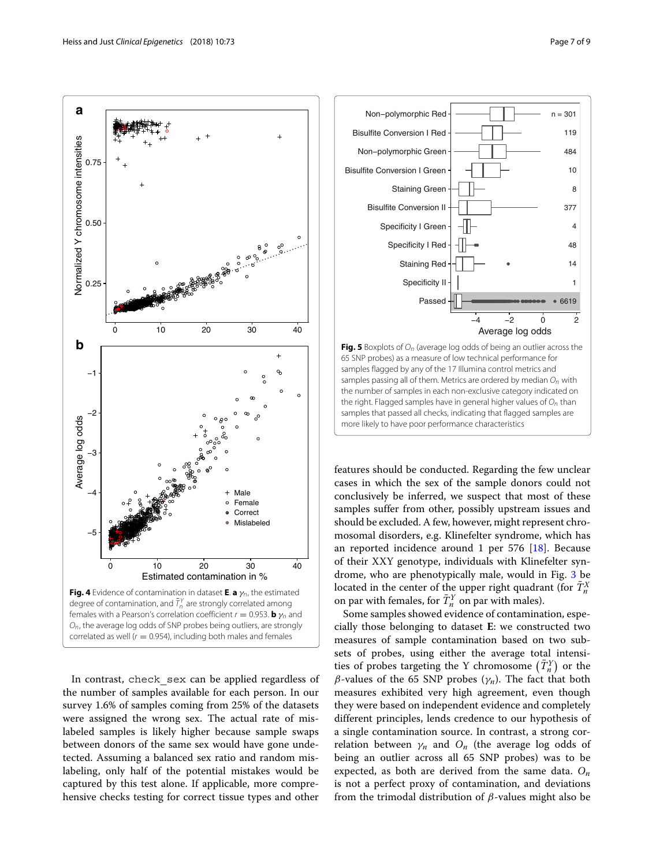

<span id="page-6-1"></span><span id="page-6-0"></span>In contrast, check sex can be applied regardless of the number of samples available for each person. In our survey 1.6% of samples coming from 25% of the datasets were assigned the wrong sex. The actual rate of mislabeled samples is likely higher because sample swaps between donors of the same sex would have gone undetected. Assuming a balanced sex ratio and random mislabeling, only half of the potential mistakes would be captured by this test alone. If applicable, more comprehensive checks testing for correct tissue types and other



<span id="page-6-2"></span>**Fig. 5** Boxplots of  $O_n$  (average log odds of being an outlier across the 65 SNP probes) as a measure of low technical performance for samples flagged by any of the 17 Illumina control metrics and samples passing all of them. Metrics are ordered by median  $O_n$  with the number of samples in each non-exclusive category indicated on the right. Flagged samples have in general higher values of  $O<sub>n</sub>$  than samples that passed all checks, indicating that flagged samples are more likely to have poor performance characteristics

features should be conducted. Regarding the few unclear cases in which the sex of the sample donors could not conclusively be inferred, we suspect that most of these samples suffer from other, possibly upstream issues and should be excluded. A few, however, might represent chromosomal disorders, e.g. Klinefelter syndrome, which has an reported incidence around 1 per 576 [\[18\]](#page-8-17). Because of their XXY genotype, individuals with Klinefelter syndrome, who are phenotypically male, would in Fig. [3](#page-5-0) be located in the center of the upper right quadrant (for  $\bar{T}_n^X$ on par with females, for  $\bar{T}_n^Y$  on par with males).

Some samples showed evidence of contamination, especially those belonging to dataset **E**: we constructed two measures of sample contamination based on two subsets of probes, using either the average total intensities of probes targeting the Y chromosome  $(\bar{T}^Y_n)$  or the  $\beta$ -values of the 65 SNP probes ( $\gamma$ <sub>n</sub>). The fact that both measures exhibited very high agreement, even though they were based on independent evidence and completely different principles, lends credence to our hypothesis of a single contamination source. In contrast, a strong correlation between  $\gamma_n$  and  $O_n$  (the average log odds of being an outlier across all 65 SNP probes) was to be expected, as both are derived from the same data. *On* is not a perfect proxy of contamination, and deviations from the trimodal distribution of β-values might also be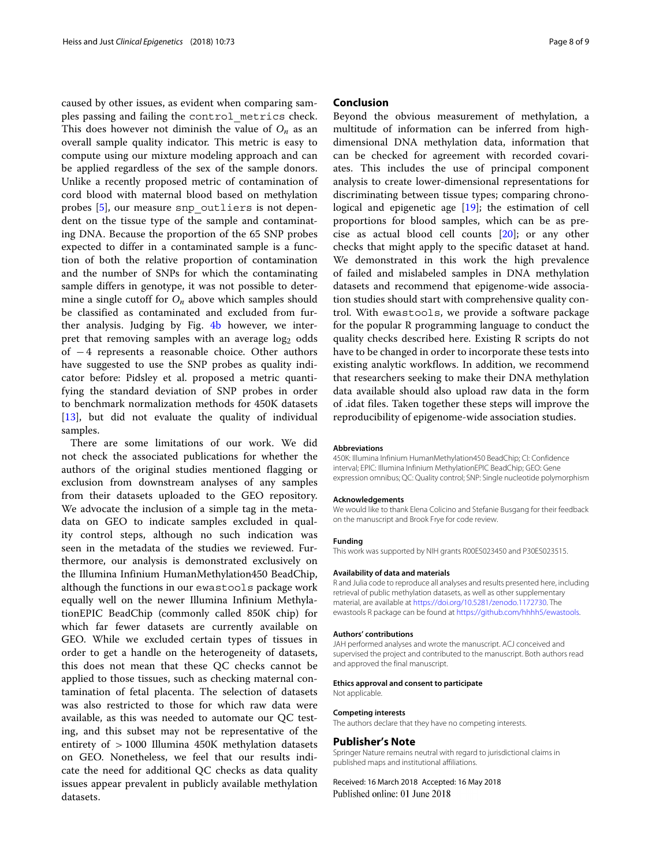caused by other issues, as evident when comparing samples passing and failing the control\_metrics check. This does however not diminish the value of  $O_n$  as an overall sample quality indicator. This metric is easy to compute using our mixture modeling approach and can be applied regardless of the sex of the sample donors. Unlike a recently proposed metric of contamination of cord blood with maternal blood based on methylation probes [\[5\]](#page-8-4), our measure snp\_outliers is not dependent on the tissue type of the sample and contaminating DNA. Because the proportion of the 65 SNP probes expected to differ in a contaminated sample is a function of both the relative proportion of contamination and the number of SNPs for which the contaminating sample differs in genotype, it was not possible to determine a single cutoff for *On* above which samples should be classified as contaminated and excluded from further analysis. Judging by Fig. [4](#page-6-0)[b](#page-6-1) however, we interpret that removing samples with an average log<sub>2</sub> odds of − 4 represents a reasonable choice. Other authors have suggested to use the SNP probes as quality indicator before: Pidsley et al. proposed a metric quantifying the standard deviation of SNP probes in order to benchmark normalization methods for 450K datasets [\[13\]](#page-8-12), but did not evaluate the quality of individual samples.

There are some limitations of our work. We did not check the associated publications for whether the authors of the original studies mentioned flagging or exclusion from downstream analyses of any samples from their datasets uploaded to the GEO repository. We advocate the inclusion of a simple tag in the metadata on GEO to indicate samples excluded in quality control steps, although no such indication was seen in the metadata of the studies we reviewed. Furthermore, our analysis is demonstrated exclusively on the Illumina Infinium HumanMethylation450 BeadChip, although the functions in our ewastools package work equally well on the newer Illumina Infinium MethylationEPIC BeadChip (commonly called 850K chip) for which far fewer datasets are currently available on GEO. While we excluded certain types of tissues in order to get a handle on the heterogeneity of datasets, this does not mean that these QC checks cannot be applied to those tissues, such as checking maternal contamination of fetal placenta. The selection of datasets was also restricted to those for which raw data were available, as this was needed to automate our QC testing, and this subset may not be representative of the entirety of > 1000 Illumina 450K methylation datasets on GEO. Nonetheless, we feel that our results indicate the need for additional QC checks as data quality issues appear prevalent in publicly available methylation datasets.

#### **Conclusion**

Beyond the obvious measurement of methylation, a multitude of information can be inferred from highdimensional DNA methylation data, information that can be checked for agreement with recorded covariates. This includes the use of principal component analysis to create lower-dimensional representations for discriminating between tissue types; comparing chronological and epigenetic age [\[19\]](#page-8-18); the estimation of cell proportions for blood samples, which can be as precise as actual blood cell counts [\[20\]](#page-8-19); or any other checks that might apply to the specific dataset at hand. We demonstrated in this work the high prevalence of failed and mislabeled samples in DNA methylation datasets and recommend that epigenome-wide association studies should start with comprehensive quality control. With ewastools, we provide a software package for the popular R programming language to conduct the quality checks described here. Existing R scripts do not have to be changed in order to incorporate these tests into existing analytic workflows. In addition, we recommend that researchers seeking to make their DNA methylation data available should also upload raw data in the form of .idat files. Taken together these steps will improve the reproducibility of epigenome-wide association studies.

#### **Abbreviations**

450K: Illumina Infinium HumanMethylation450 BeadChip; CI: Confidence interval; EPIC: Illumina Infinium MethylationEPIC BeadChip; GEO: Gene expression omnibus; QC: Quality control; SNP: Single nucleotide polymorphism

#### **Acknowledgements**

We would like to thank Elena Colicino and Stefanie Busgang for their feedback on the manuscript and Brook Frye for code review.

#### **Funding**

This work was supported by NIH grants R00ES023450 and P30ES023515.

#### **Availability of data and materials**

R and Julia code to reproduce all analyses and results presented here, including retrieval of public methylation datasets, as well as other supplementary material, are available at [https://doi.org/10.5281/zenodo.1172730.](https://doi.org/10.5281/zenodo.1172730) The ewastools R package can be found at [https://github.com/hhhh5/ewastools.](https://github.com/hhhh5/ewastools)

#### **Authors' contributions**

JAH performed analyses and wrote the manuscript. ACJ conceived and supervised the project and contributed to the manuscript. Both authors read and approved the final manuscript.

#### **Ethics approval and consent to participate**

Not applicable.

#### **Competing interests**

The authors declare that they have no competing interests.

### **Publisher's Note**

Springer Nature remains neutral with regard to jurisdictional claims in published maps and institutional affiliations.

Received: 16 March 2018 Accepted: 16 May 2018Published online: 01 June 2018